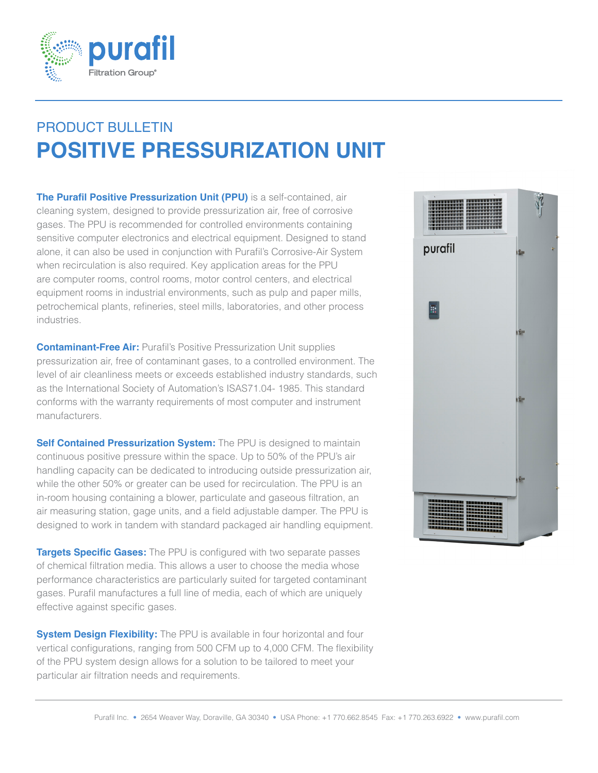

## PRODUCT BULLETIN **POSITIVE PRESSURIZATION UNIT**

**The Purafil Positive Pressurization Unit (PPU)** is a self-contained, air cleaning system, designed to provide pressurization air, free of corrosive gases. The PPU is recommended for controlled environments containing sensitive computer electronics and electrical equipment. Designed to stand alone, it can also be used in conjunction with Purafil's Corrosive-Air System when recirculation is also required. Key application areas for the PPU are computer rooms, control rooms, motor control centers, and electrical equipment rooms in industrial environments, such as pulp and paper mills, petrochemical plants, refineries, steel mills, laboratories, and other process industries.

**Contaminant-Free Air:** Purafil's Positive Pressurization Unit supplies pressurization air, free of contaminant gases, to a controlled environment. The level of air cleanliness meets or exceeds established industry standards, such as the International Society of Automation's ISAS71.04- 1985. This standard conforms with the warranty requirements of most computer and instrument manufacturers.

**Self Contained Pressurization System:** The PPU is designed to maintain continuous positive pressure within the space. Up to 50% of the PPU's air handling capacity can be dedicated to introducing outside pressurization air, while the other 50% or greater can be used for recirculation. The PPU is an in-room housing containing a blower, particulate and gaseous filtration, an air measuring station, gage units, and a field adjustable damper. The PPU is designed to work in tandem with standard packaged air handling equipment.

**Targets Specific Gases:** The PPU is configured with two separate passes of chemical filtration media. This allows a user to choose the media whose performance characteristics are particularly suited for targeted contaminant gases. Purafil manufactures a full line of media, each of which are uniquely effective against specific gases.

**System Design Flexibility:** The PPU is available in four horizontal and four vertical configurations, ranging from 500 CFM up to 4,000 CFM. The flexibility of the PPU system design allows for a solution to be tailored to meet your particular air filtration needs and requirements.